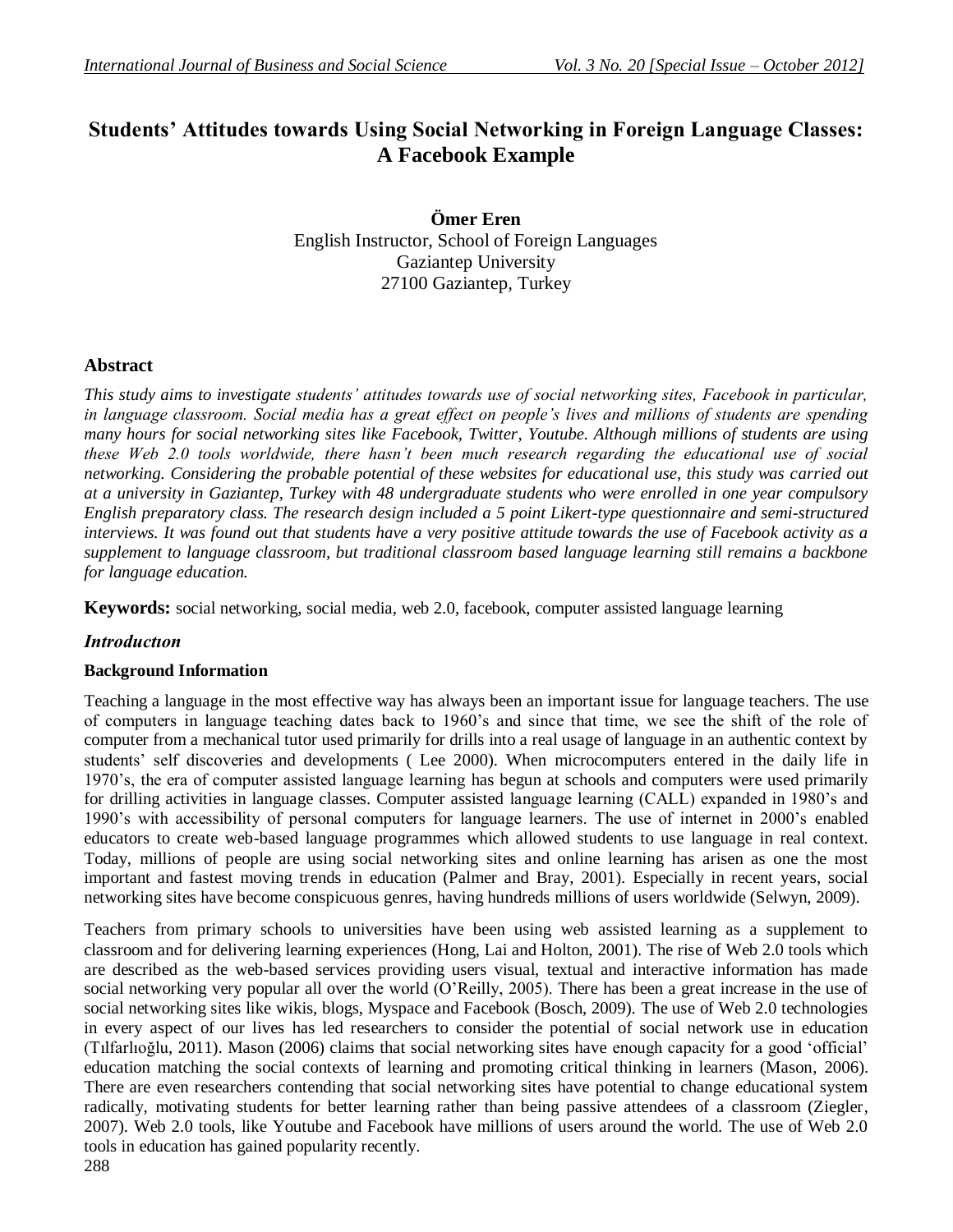# **Students' Attitudes towards Using Social Networking in Foreign Language Classes: A Facebook Example**

**Ömer Eren** English Instructor, School of Foreign Languages Gaziantep University 27100 Gaziantep, Turkey

# **Abstract**

*This study aims to investigate students' attitudes towards use of social networking sites, Facebook in particular, in language classroom. Social media has a great effect on people's lives and millions of students are spending many hours for social networking sites like Facebook, Twitter, Youtube. Although millions of students are using these Web 2.0 tools worldwide, there hasn't been much research regarding the educational use of social networking. Considering the probable potential of these websites for educational use, this study was carried out at a university in Gaziantep, Turkey with 48 undergraduate students who were enrolled in one year compulsory English preparatory class. The research design included a 5 point Likert-type questionnaire and semi-structured interviews. It was found out that students have a very positive attitude towards the use of Facebook activity as a supplement to language classroom, but traditional classroom based language learning still remains a backbone for language education.*

**Keywords:** social networking, social media, web 2.0, facebook, computer assisted language learning

# *Introductıon*

# **Background Information**

Teaching a language in the most effective way has always been an important issue for language teachers. The use of computers in language teaching dates back to 1960"s and since that time, we see the shift of the role of computer from a mechanical tutor used primarily for drills into a real usage of language in an authentic context by students" self discoveries and developments ( Lee 2000). When microcomputers entered in the daily life in 1970"s, the era of computer assisted language learning has begun at schools and computers were used primarily for drilling activities in language classes. Computer assisted language learning (CALL) expanded in 1980"s and 1990"s with accessibility of personal computers for language learners. The use of internet in 2000"s enabled educators to create web-based language programmes which allowed students to use language in real context. Today, millions of people are using social networking sites and online learning has arisen as one the most important and fastest moving trends in education (Palmer and Bray, 2001). Especially in recent years, social networking sites have become conspicuous genres, having hundreds millions of users worldwide (Selwyn, 2009).

Teachers from primary schools to universities have been using web assisted learning as a supplement to classroom and for delivering learning experiences (Hong, Lai and Holton, 2001). The rise of Web 2.0 tools which are described as the web-based services providing users visual, textual and interactive information has made social networking very popular all over the world (O"Reilly, 2005). There has been a great increase in the use of social networking sites like wikis, blogs, Myspace and Facebook (Bosch, 2009). The use of Web 2.0 technologies in every aspect of our lives has led researchers to consider the potential of social network use in education (Tılfarlıoğlu, 2011). Mason (2006) claims that social networking sites have enough capacity for a good "official" education matching the social contexts of learning and promoting critical thinking in learners (Mason, 2006). There are even researchers contending that social networking sites have potential to change educational system radically, motivating students for better learning rather than being passive attendees of a classroom (Ziegler, 2007). Web 2.0 tools, like Youtube and Facebook have millions of users around the world. The use of Web 2.0 tools in education has gained popularity recently.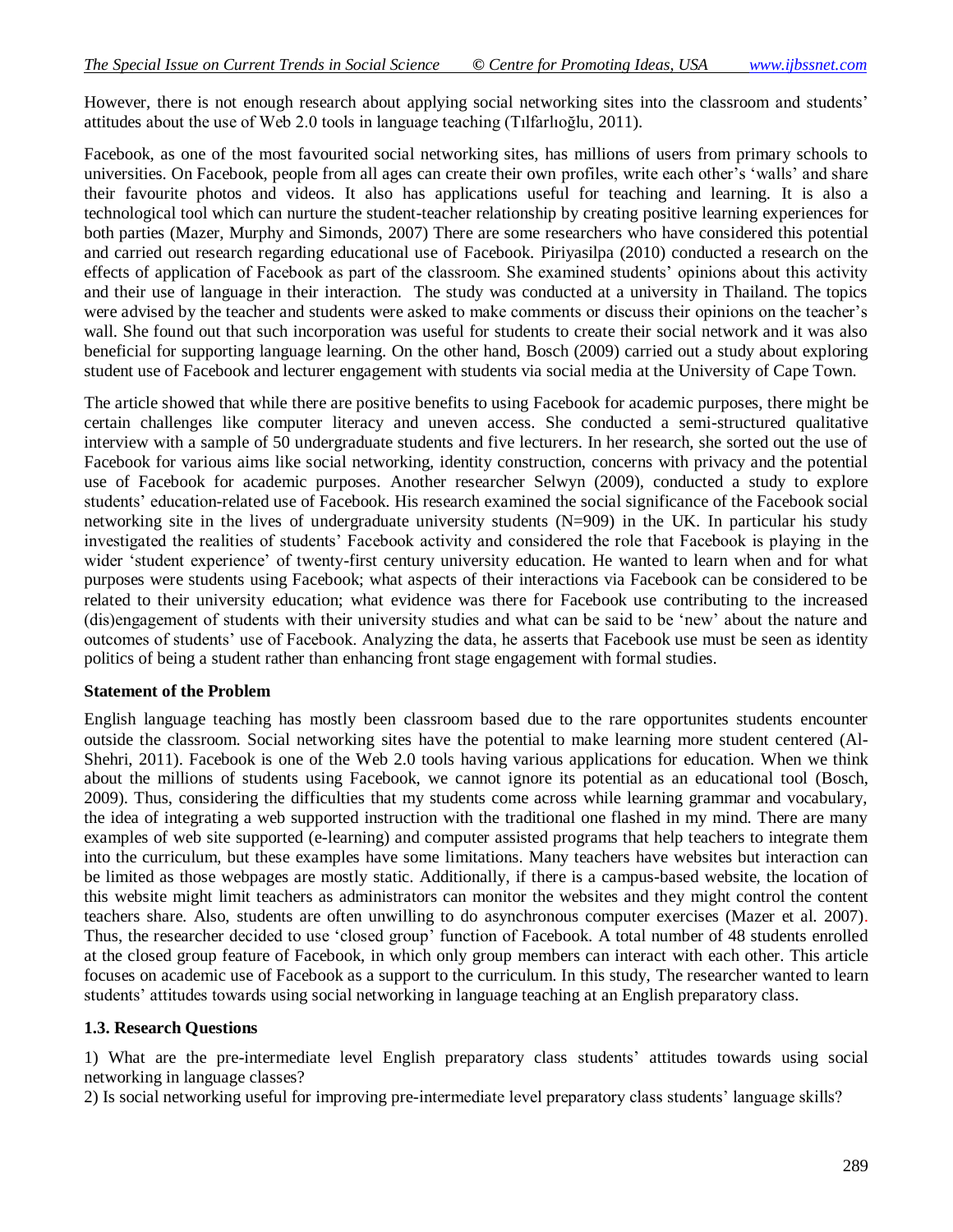However, there is not enough research about applying social networking sites into the classroom and students' attitudes about the use of Web 2.0 tools in language teaching (Tılfarlıoğlu, 2011).

Facebook, as one of the most favourited social networking sites, has millions of users from primary schools to universities. On Facebook, people from all ages can create their own profiles, write each other"s "walls" and share their favourite photos and videos. It also has applications useful for teaching and learning. It is also a technological tool which can nurture the student-teacher relationship by creating positive learning experiences for both parties (Mazer, Murphy and Simonds, 2007) There are some researchers who have considered this potential and carried out research regarding educational use of Facebook. Piriyasilpa (2010) conducted a research on the effects of application of Facebook as part of the classroom. She examined students" opinions about this activity and their use of language in their interaction. The study was conducted at a university in Thailand. The topics were advised by the teacher and students were asked to make comments or discuss their opinions on the teacher"s wall. She found out that such incorporation was useful for students to create their social network and it was also beneficial for supporting language learning. On the other hand, Bosch (2009) carried out a study about exploring student use of Facebook and lecturer engagement with students via social media at the University of Cape Town.

The article showed that while there are positive benefits to using Facebook for academic purposes, there might be certain challenges like computer literacy and uneven access. She conducted a semi-structured qualitative interview with a sample of 50 undergraduate students and five lecturers. In her research, she sorted out the use of Facebook for various aims like social networking, identity construction, concerns with privacy and the potential use of Facebook for academic purposes. Another researcher Selwyn (2009), conducted a study to explore students' education-related use of Facebook. His research examined the social significance of the Facebook social networking site in the lives of undergraduate university students (N=909) in the UK. In particular his study investigated the realities of students" Facebook activity and considered the role that Facebook is playing in the wider "student experience" of twenty-first century university education. He wanted to learn when and for what purposes were students using Facebook; what aspects of their interactions via Facebook can be considered to be related to their university education; what evidence was there for Facebook use contributing to the increased (dis)engagement of students with their university studies and what can be said to be "new" about the nature and outcomes of students" use of Facebook. Analyzing the data, he asserts that Facebook use must be seen as identity politics of being a student rather than enhancing front stage engagement with formal studies.

### **Statement of the Problem**

English language teaching has mostly been classroom based due to the rare opportunites students encounter outside the classroom. Social networking sites have the potential to make learning more student centered (Al-Shehri, 2011). Facebook is one of the Web 2.0 tools having various applications for education. When we think about the millions of students using Facebook, we cannot ignore its potential as an educational tool (Bosch, 2009). Thus, considering the difficulties that my students come across while learning grammar and vocabulary, the idea of integrating a web supported instruction with the traditional one flashed in my mind. There are many examples of web site supported (e-learning) and computer assisted programs that help teachers to integrate them into the curriculum, but these examples have some limitations. Many teachers have websites but interaction can be limited as those webpages are mostly static. Additionally, if there is a campus-based website, the location of this website might limit teachers as administrators can monitor the websites and they might control the content teachers share. Also, students are often unwilling to do asynchronous computer exercises (Mazer et al. 2007). Thus, the researcher decided to use "closed group" function of Facebook. A total number of 48 students enrolled at the closed group feature of Facebook, in which only group members can interact with each other. This article focuses on academic use of Facebook as a support to the curriculum. In this study, The researcher wanted to learn students" attitudes towards using social networking in language teaching at an English preparatory class.

### **1.3. Research Questions**

1) What are the pre-intermediate level English preparatory class students" attitudes towards using social networking in language classes?

2) Is social networking useful for improving pre-intermediate level preparatory class students" language skills?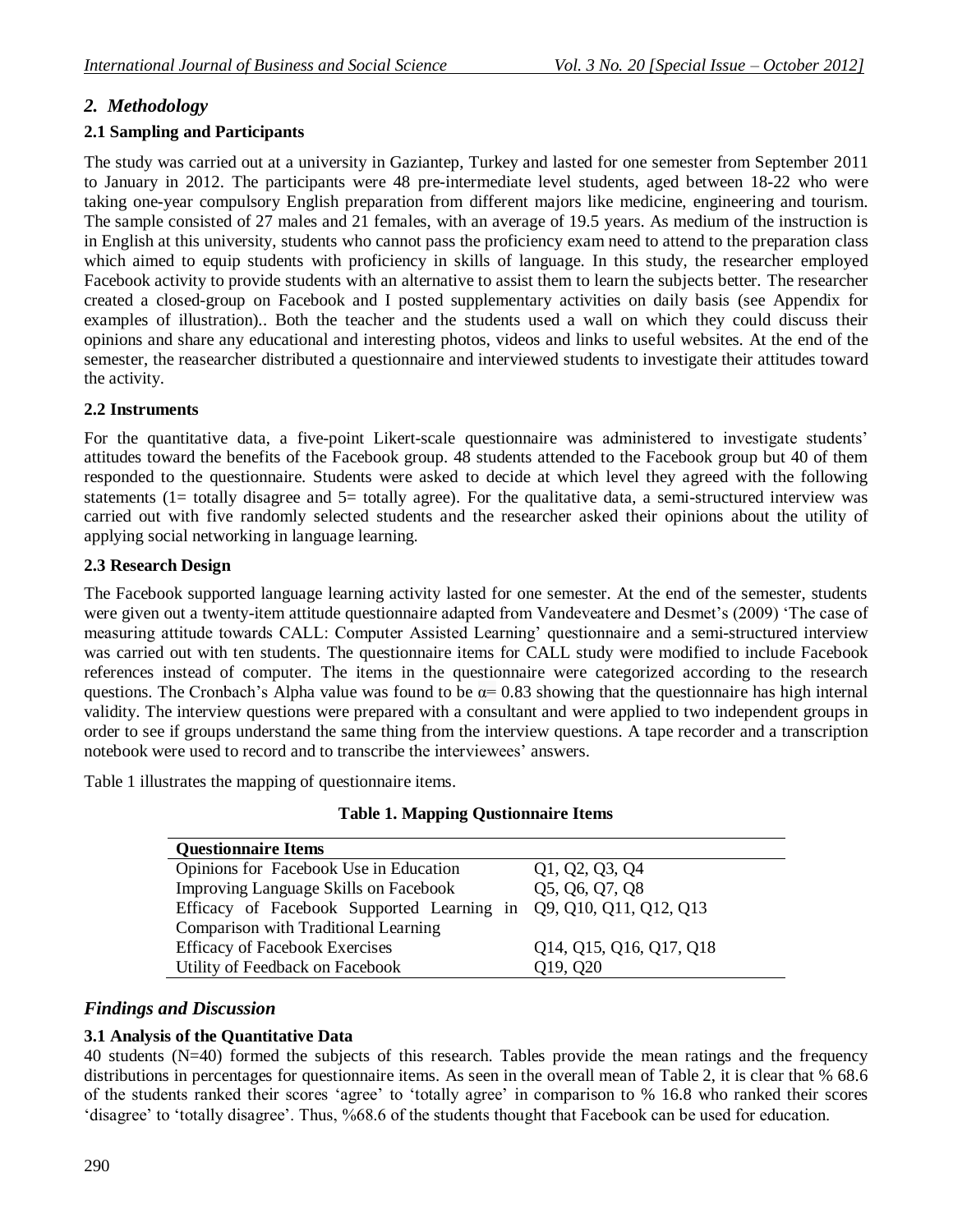# *2. Methodology*

# **2.1 Sampling and Participants**

The study was carried out at a university in Gaziantep, Turkey and lasted for one semester from September 2011 to January in 2012. The participants were 48 pre-intermediate level students, aged between 18-22 who were taking one-year compulsory English preparation from different majors like medicine, engineering and tourism. The sample consisted of 27 males and 21 females, with an average of 19.5 years. As medium of the instruction is in English at this university, students who cannot pass the proficiency exam need to attend to the preparation class which aimed to equip students with proficiency in skills of language. In this study, the researcher employed Facebook activity to provide students with an alternative to assist them to learn the subjects better. The researcher created a closed-group on Facebook and I posted supplementary activities on daily basis (see Appendix for examples of illustration).. Both the teacher and the students used a wall on which they could discuss their opinions and share any educational and interesting photos, videos and links to useful websites. At the end of the semester, the reasearcher distributed a questionnaire and interviewed students to investigate their attitudes toward the activity.

# **2.2 Instruments**

For the quantitative data, a five-point Likert-scale questionnaire was administered to investigate students' attitudes toward the benefits of the Facebook group. 48 students attended to the Facebook group but 40 of them responded to the questionnaire. Students were asked to decide at which level they agreed with the following statements (1= totally disagree and 5= totally agree). For the qualitative data, a semi-structured interview was carried out with five randomly selected students and the researcher asked their opinions about the utility of applying social networking in language learning.

# **2.3 Research Design**

The Facebook supported language learning activity lasted for one semester. At the end of the semester, students were given out a twenty-item attitude questionnaire adapted from Vandeveatere and Desmet's (2009) 'The case of measuring attitude towards CALL: Computer Assisted Learning' questionnaire and a semi-structured interview was carried out with ten students. The questionnaire items for CALL study were modified to include Facebook references instead of computer. The items in the questionnaire were categorized according to the research questions. The Cronbach's Alpha value was found to be  $\alpha$ = 0.83 showing that the questionnaire has high internal validity. The interview questions were prepared with a consultant and were applied to two independent groups in order to see if groups understand the same thing from the interview questions. A tape recorder and a transcription notebook were used to record and to transcribe the interviewees' answers.

Table 1 illustrates the mapping of questionnaire items.

|  | <b>Table 1. Mapping Qustionnaire Items</b> |
|--|--------------------------------------------|
|--|--------------------------------------------|

| <b>Questionnaire Items</b>                                        |                         |
|-------------------------------------------------------------------|-------------------------|
| Opinions for Facebook Use in Education                            | Q1, Q2, Q3, Q4          |
| <b>Improving Language Skills on Facebook</b>                      | Q5, Q6, Q7, Q8          |
| Efficacy of Facebook Supported Learning in Q9, Q10, Q11, Q12, Q13 |                         |
| Comparison with Traditional Learning                              |                         |
| <b>Efficacy of Facebook Exercises</b>                             | Q14, Q15, Q16, Q17, Q18 |
| Utility of Feedback on Facebook                                   | Q19, Q20                |

# *Findings and Discussion*

# **3.1 Analysis of the Quantitative Data**

40 students (N=40) formed the subjects of this research. Tables provide the mean ratings and the frequency distributions in percentages for questionnaire items. As seen in the overall mean of Table 2, it is clear that % 68.6 of the students ranked their scores "agree" to "totally agree" in comparison to % 16.8 who ranked their scores 'disagree' to 'totally disagree'. Thus, %68.6 of the students thought that Facebook can be used for education.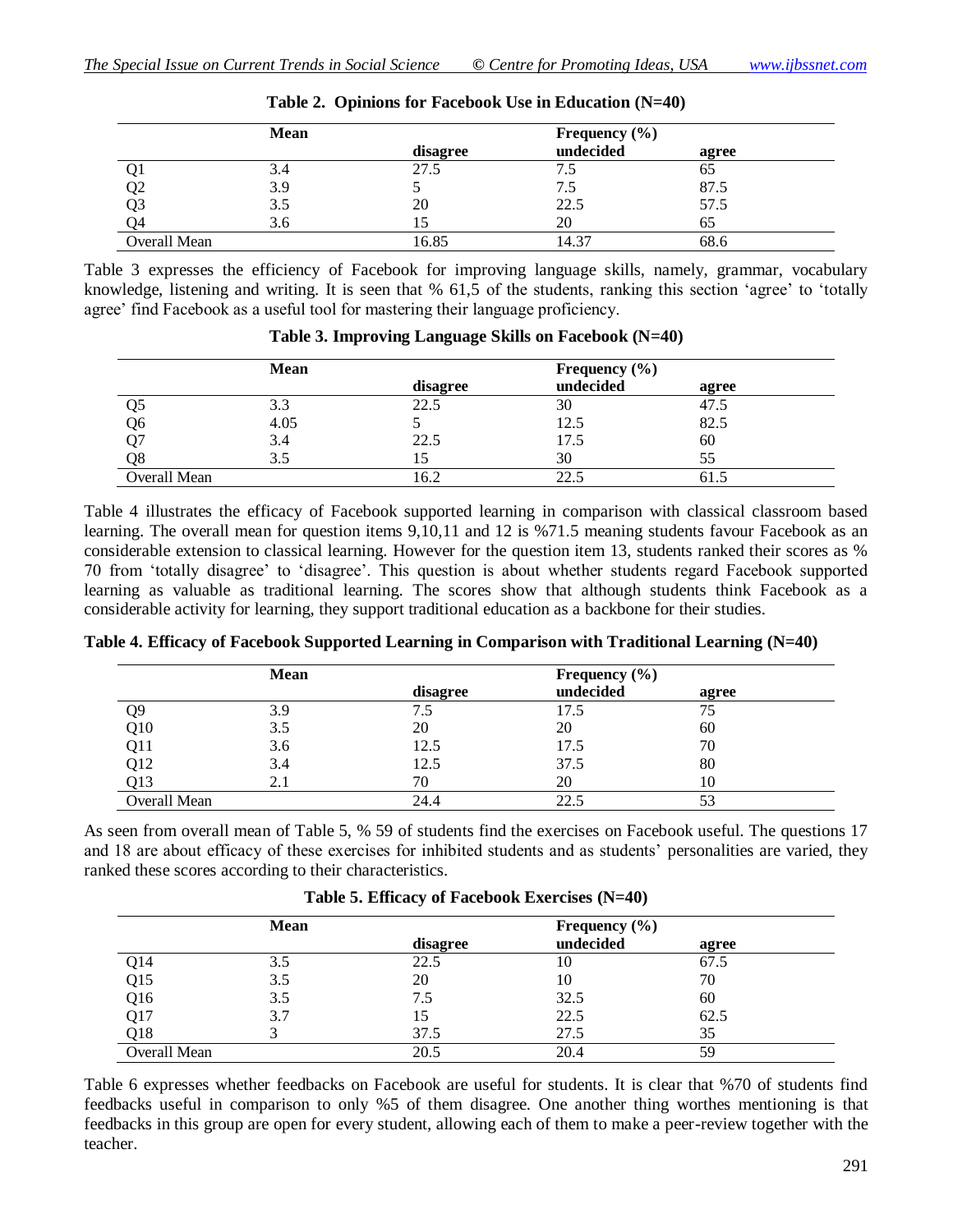|              | Mean |          | Frequency $(\% )$ |       |
|--------------|------|----------|-------------------|-------|
|              |      | disagree | undecided         | agree |
|              | 3.4  | 27.5     |                   | 65    |
| Q2           | 3.9  |          | 7.5               | 87.5  |
| Q3           | 3.5  | 20       | 22.5              | 57.5  |
| - 14         | 3.6  |          | 20                | 65    |
| Overall Mean |      | 16.85    | 14.37             | 68.6  |

| Table 2. Opinions for Facebook Use in Education (N=40) |  |  |  |  |  |
|--------------------------------------------------------|--|--|--|--|--|
|--------------------------------------------------------|--|--|--|--|--|

Table 3 expresses the efficiency of Facebook for improving language skills, namely, grammar, vocabulary knowledge, listening and writing. It is seen that % 61,5 of the students, ranking this section "agree" to "totally agree" find Facebook as a useful tool for mastering their language proficiency.

|              | Mean |          | Frequency $(\% )$ |       |
|--------------|------|----------|-------------------|-------|
|              |      | disagree | undecided         | agree |
| და           | 3.3  | 22.5     | 30                | 47.5  |
| Q6           | 4.05 |          | 12.5              | 82.5  |
|              | 3.4  | 22.5     | 17.5              | 60    |
| Q8           | 3.5  |          | 30                | 55    |
| Overall Mean |      | 16.2     |                   |       |

|  |  | Table 3. Improving Language Skills on Facebook (N=40) |  |  |
|--|--|-------------------------------------------------------|--|--|
|--|--|-------------------------------------------------------|--|--|

Table 4 illustrates the efficacy of Facebook supported learning in comparison with classical classroom based learning. The overall mean for question items 9,10,11 and 12 is %71.5 meaning students favour Facebook as an considerable extension to classical learning. However for the question item 13, students ranked their scores as % 70 from "totally disagree" to "disagree". This question is about whether students regard Facebook supported learning as valuable as traditional learning. The scores show that although students think Facebook as a considerable activity for learning, they support traditional education as a backbone for their studies.

|     | <b>Mean</b> |          | Frequency $(\% )$ |       |
|-----|-------------|----------|-------------------|-------|
|     |             | disagree | undecided         | agree |
| Q9  | 3.9         | د. ا     | 17.5              | 75    |
| Q10 | 3.5         | 20       | 20                | 60    |
| Q11 | 3.6         | 12.5     | 17.5              | 70    |
| Q12 | 3.4         | 12.5     | 37.±              | 80    |

Q13 2.1 70 20 10 Overall Mean 24.4 22.5 53

**Table 4. Efficacy of Facebook Supported Learning in Comparison with Traditional Learning (N=40)**

As seen from overall mean of Table 5, % 59 of students find the exercises on Facebook useful. The questions 17 and 18 are about efficacy of these exercises for inhibited students and as students' personalities are varied, they ranked these scores according to their characteristics.

|                 |      | $\overline{ }$ |                   |       |  |
|-----------------|------|----------------|-------------------|-------|--|
|                 | Mean |                | Frequency $(\% )$ |       |  |
|                 |      | disagree       | undecided         | agree |  |
| Q14             | 3.5  | 22.5           | 10                | 67.5  |  |
| Q15             | 3.5  | 20             | 10                | 70    |  |
| Q <sub>16</sub> | 3.5  | 7.5            | 32.5              | 60    |  |
| Q17             | 3.7  | 15             | 22.5              | 62.5  |  |
| Q <sub>18</sub> |      | 37.5           | 27.5              | 35    |  |
| Overall Mean    |      | 20.5           | 20.4              | 59    |  |

**Table 5. Efficacy of Facebook Exercises (N=40)**

Table 6 expresses whether feedbacks on Facebook are useful for students. It is clear that %70 of students find feedbacks useful in comparison to only %5 of them disagree. One another thing worthes mentioning is that feedbacks in this group are open for every student, allowing each of them to make a peer-review together with the teacher.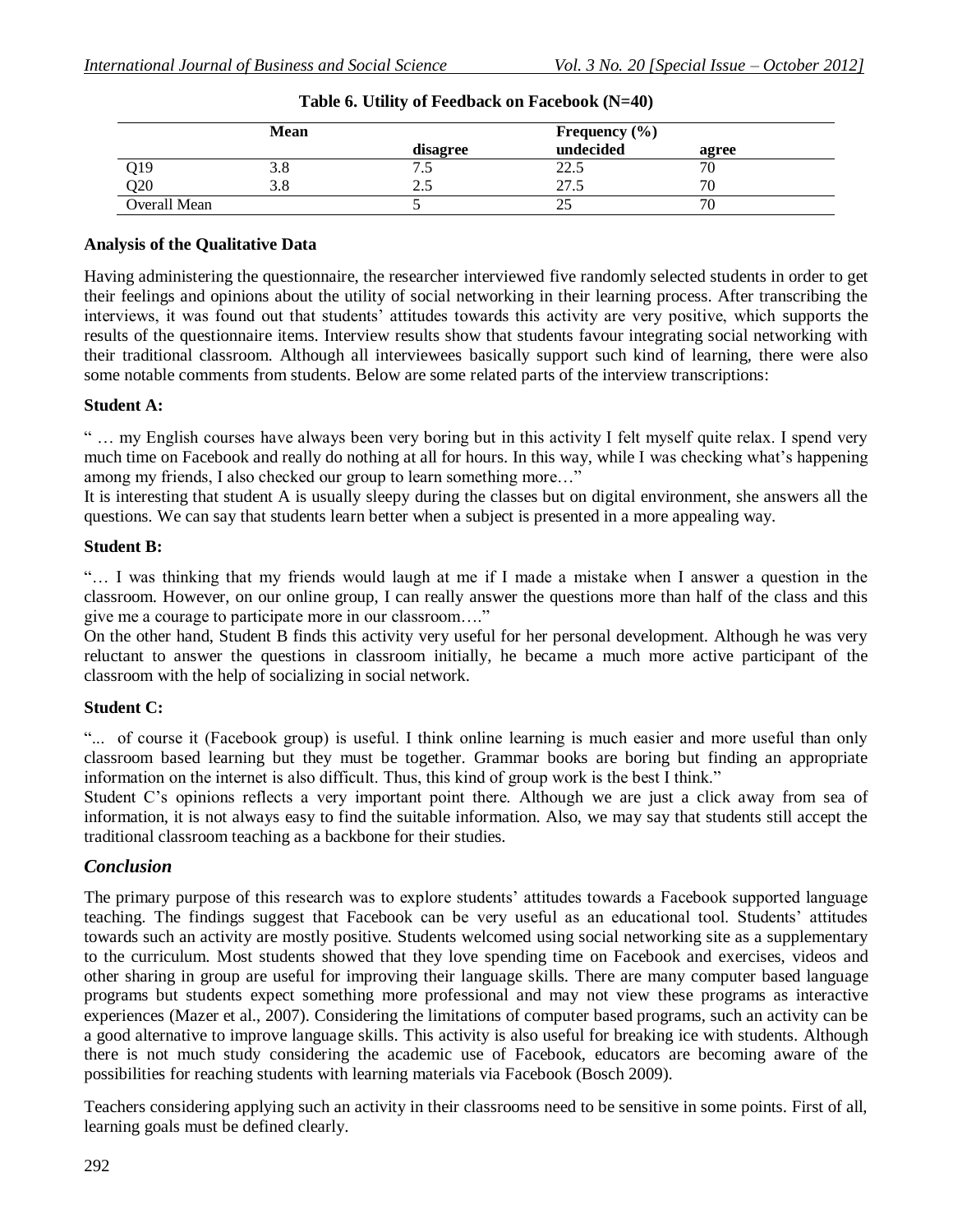|              | <b>Mean</b> |          | Frequency $(\% )$ |       |
|--------------|-------------|----------|-------------------|-------|
|              |             | disagree | undecided         | agree |
| Q19          | ა.ა         | ن.       | 22.5              | 70    |
| Q20          | 3.8         | ن ک      | 27.5              | 70    |
| Overall Mean |             |          |                   |       |

| Table 6. Utility of Feedback on Facebook (N=40) |  |  |  |  |  |
|-------------------------------------------------|--|--|--|--|--|
|-------------------------------------------------|--|--|--|--|--|

### **Analysis of the Qualitative Data**

Having administering the questionnaire, the researcher interviewed five randomly selected students in order to get their feelings and opinions about the utility of social networking in their learning process. After transcribing the interviews, it was found out that students' attitudes towards this activity are very positive, which supports the results of the questionnaire items. Interview results show that students favour integrating social networking with their traditional classroom. Although all interviewees basically support such kind of learning, there were also some notable comments from students. Below are some related parts of the interview transcriptions:

### **Student A:**

" … my English courses have always been very boring but in this activity I felt myself quite relax. I spend very much time on Facebook and really do nothing at all for hours. In this way, while I was checking what's happening among my friends, I also checked our group to learn something more…"

It is interesting that student A is usually sleepy during the classes but on digital environment, she answers all the questions. We can say that students learn better when a subject is presented in a more appealing way.

### **Student B:**

"… I was thinking that my friends would laugh at me if I made a mistake when I answer a question in the classroom. However, on our online group, I can really answer the questions more than half of the class and this give me a courage to participate more in our classroom…."

On the other hand, Student B finds this activity very useful for her personal development. Although he was very reluctant to answer the questions in classroom initially, he became a much more active participant of the classroom with the help of socializing in social network.

### **Student C:**

"... of course it (Facebook group) is useful. I think online learning is much easier and more useful than only classroom based learning but they must be together. Grammar books are boring but finding an appropriate information on the internet is also difficult. Thus, this kind of group work is the best I think."

Student C's opinions reflects a very important point there. Although we are just a click away from sea of information, it is not always easy to find the suitable information. Also, we may say that students still accept the traditional classroom teaching as a backbone for their studies.

# *Conclusion*

The primary purpose of this research was to explore students' attitudes towards a Facebook supported language teaching. The findings suggest that Facebook can be very useful as an educational tool. Students' attitudes towards such an activity are mostly positive. Students welcomed using social networking site as a supplementary to the curriculum. Most students showed that they love spending time on Facebook and exercises, videos and other sharing in group are useful for improving their language skills. There are many computer based language programs but students expect something more professional and may not view these programs as interactive experiences (Mazer et al., 2007). Considering the limitations of computer based programs, such an activity can be a good alternative to improve language skills. This activity is also useful for breaking ice with students. Although there is not much study considering the academic use of Facebook, educators are becoming aware of the possibilities for reaching students with learning materials via Facebook (Bosch 2009).

Teachers considering applying such an activity in their classrooms need to be sensitive in some points. First of all, learning goals must be defined clearly.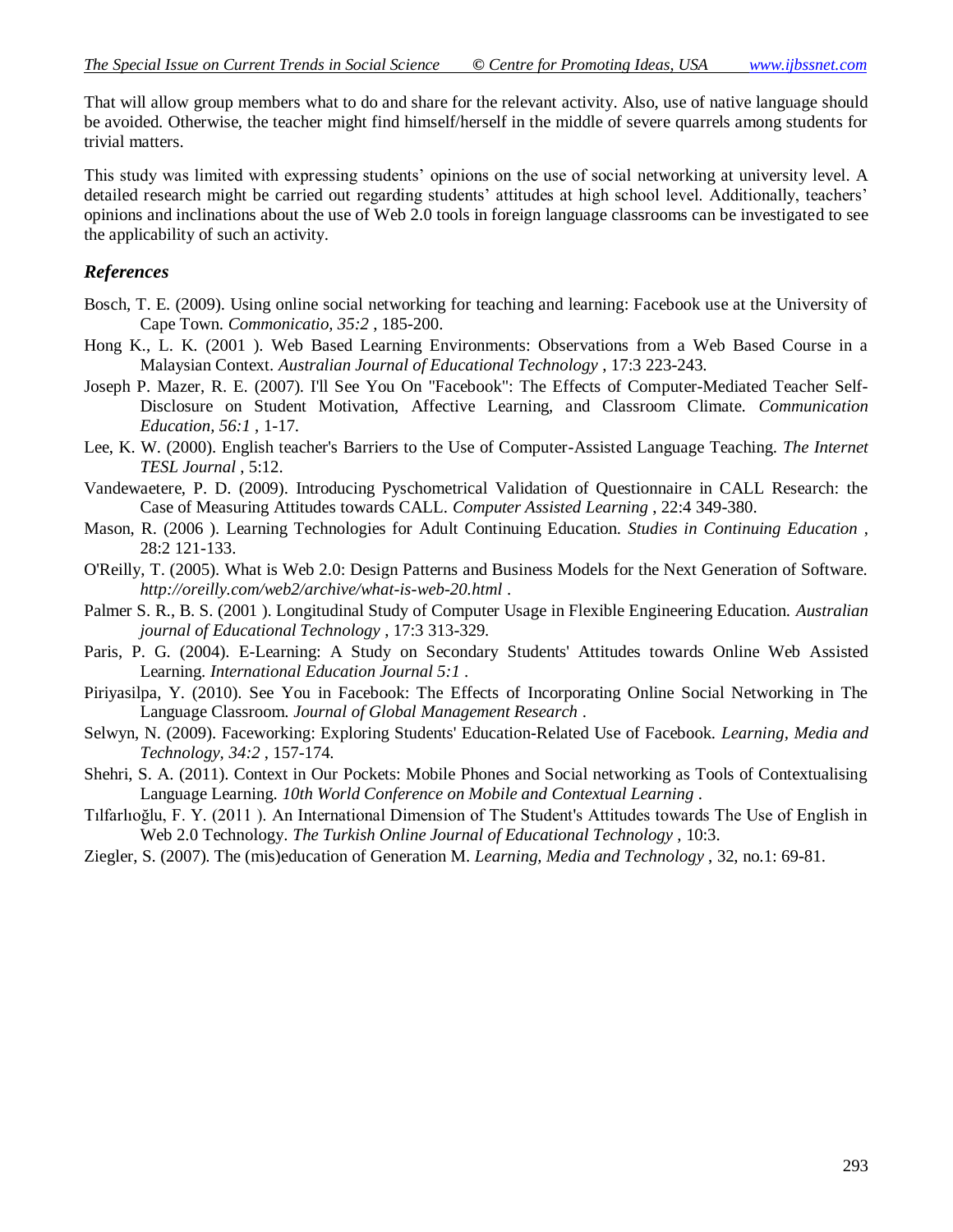That will allow group members what to do and share for the relevant activity. Also, use of native language should be avoided. Otherwise, the teacher might find himself/herself in the middle of severe quarrels among students for trivial matters.

This study was limited with expressing students" opinions on the use of social networking at university level. A detailed research might be carried out regarding students' attitudes at high school level. Additionally, teachers' opinions and inclinations about the use of Web 2.0 tools in foreign language classrooms can be investigated to see the applicability of such an activity.

### *References*

- Bosch, T. E. (2009). Using online social networking for teaching and learning: Facebook use at the University of Cape Town. *Commonicatio, 35:2* , 185-200.
- Hong K., L. K. (2001 ). Web Based Learning Environments: Observations from a Web Based Course in a Malaysian Context. *Australian Journal of Educational Technology* , 17:3 223-243.
- Joseph P. Mazer, R. E. (2007). I'll See You On "Facebook": The Effects of Computer-Mediated Teacher Self-Disclosure on Student Motivation, Affective Learning, and Classroom Climate. *Communication Education, 56:1* , 1-17.
- Lee, K. W. (2000). English teacher's Barriers to the Use of Computer-Assisted Language Teaching. *The Internet TESL Journal* , 5:12.
- Vandewaetere, P. D. (2009). Introducing Pyschometrical Validation of Questionnaire in CALL Research: the Case of Measuring Attitudes towards CALL. *Computer Assisted Learning* , 22:4 349-380.
- Mason, R. (2006 ). Learning Technologies for Adult Continuing Education. *Studies in Continuing Education* , 28:2 121-133.
- O'Reilly, T. (2005). What is Web 2.0: Design Patterns and Business Models for the Next Generation of Software. *http://oreilly.com/web2/archive/what-is-web-20.html* .
- Palmer S. R., B. S. (2001 ). Longitudinal Study of Computer Usage in Flexible Engineering Education. *Australian journal of Educational Technology* , 17:3 313-329.
- Paris, P. G. (2004). E-Learning: A Study on Secondary Students' Attitudes towards Online Web Assisted Learning. *International Education Journal 5:1* .
- Piriyasilpa, Y. (2010). See You in Facebook: The Effects of Incorporating Online Social Networking in The Language Classroom. *Journal of Global Management Research* .
- Selwyn, N. (2009). Faceworking: Exploring Students' Education-Related Use of Facebook. *Learning, Media and Technology, 34:2* , 157-174.
- Shehri, S. A. (2011). Context in Our Pockets: Mobile Phones and Social networking as Tools of Contextualising Language Learning. *10th World Conference on Mobile and Contextual Learning* .
- Tılfarlıoğlu, F. Y. (2011 ). An International Dimension of The Student's Attitudes towards The Use of English in Web 2.0 Technology. *The Turkish Online Journal of Educational Technology* , 10:3.
- Ziegler, S. (2007). The (mis)education of Generation M. *Learning, Media and Technology* , 32, no.1: 69-81.